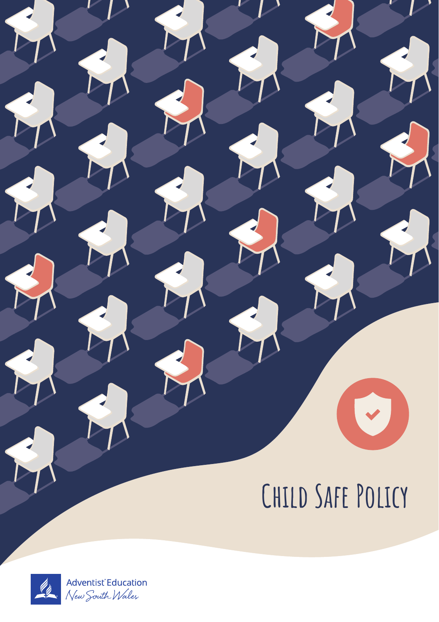# **Child Safe Policy**

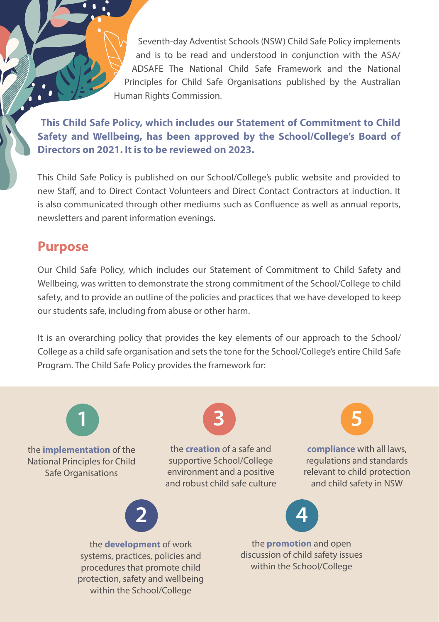Seventh-day Adventist Schools (NSW) Child Safe Policy implements and is to be read and understood in conjunction with the ASA/ ADSAFE The National Child Safe Framework and the National Principles for Child Safe Organisations published by the Australian Human Rights Commission.

**This Child Safe Policy, which includes our Statement of Commitment to Child Safety and Wellbeing, has been approved by the School/College's Board of Directors on 2021. It is to be reviewed on 2023.**

This Child Safe Policy is published on our School/College's public website and provided to new Staff, and to Direct Contact Volunteers and Direct Contact Contractors at induction. It is also communicated through other mediums such as Confluence as well as annual reports, newsletters and parent information evenings.

## Purpose

Our Child Safe Policy, which includes our Statement of Commitment to Child Safety and Wellbeing, was written to demonstrate the strong commitment of the School/College to child safety, and to provide an outline of the policies and practices that we have developed to keep our students safe, including from abuse or other harm.

It is an overarching policy that provides the key elements of our approach to the School/ College as a child safe organisation and sets the tone for the School/College's entire Child Safe Program. The Child Safe Policy provides the framework for:

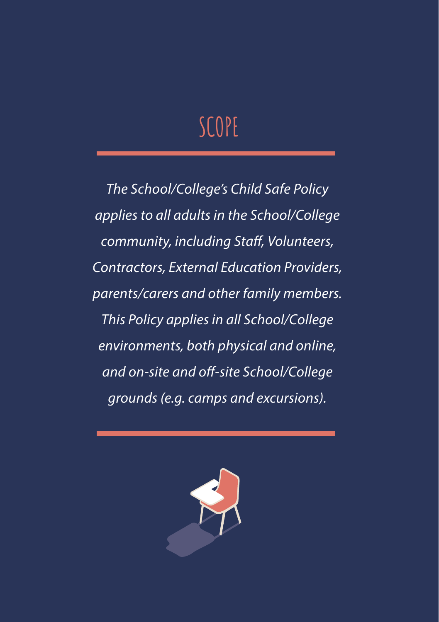## **SCOPE**

*The School/College's Child Safe Policy applies to all adults in the School/College community, including Staff, Volunteers, Contractors, External Education Providers, parents/carers and other family members. This Policy applies in all School/College environments, both physical and online, and on-site and off-site School/College grounds (e.g. camps and excursions).*

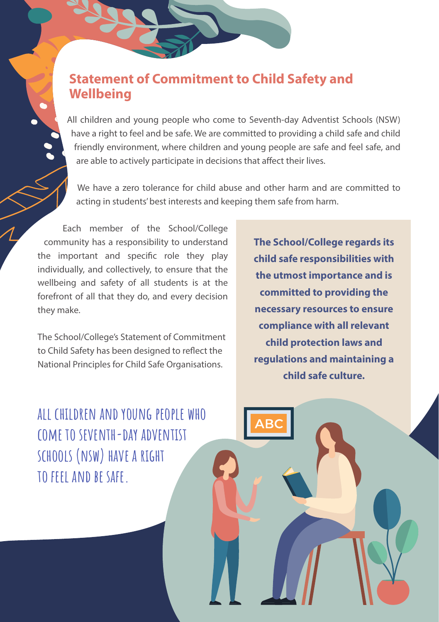## Statement of Commitment to Child Safety and **Wellbeing**

All children and young people who come to Seventh-day Adventist Schools (NSW) have a right to feel and be safe. We are committed to providing a child safe and child friendly environment, where children and young people are safe and feel safe, and are able to actively participate in decisions that affect their lives.

We have a zero tolerance for child abuse and other harm and are committed to acting in students' best interests and keeping them safe from harm.

Each member of the School/College community has a responsibility to understand the important and specific role they play individually, and collectively, to ensure that the wellbeing and safety of all students is at the forefront of all that they do, and every decision they make.

The School/College's Statement of Commitment to Child Safety has been designed to reflect the National Principles for Child Safe Organisations.

**all children and young people who come to seventh-day adventist schools (nsw) have a right to feel and be safe.** 

**The School/College regards its child safe responsibilities with the utmost importance and is committed to providing the necessary resources to ensure compliance with all relevant child protection laws and regulations and maintaining a child safe culture.**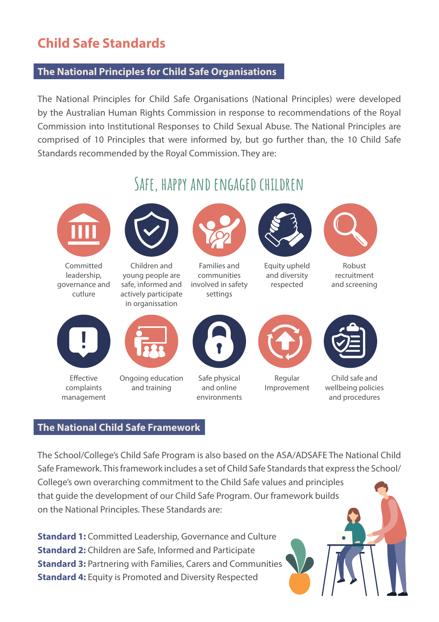## Child Safe Standards

#### **The National Principles for Child Safe Organisations**

The National Principles for Child Safe Organisations (National Principles) were developed by the Australian Human Rights Commission in response to recommendations of the Royal Commission into Institutional Responses to Child Sexual Abuse. The National Principles are comprised of 10 Principles that were informed by, but go further than, the 10 Child Safe Standards recommended by the Royal Commission. They are:



#### **The National Child Safe Framework**

The School/College's Child Safe Program is also based on the ASA/ADSAFE The National Child Safe Framework. This framework includes a set of Child Safe Standards that express the School/ College's own overarching commitment to the Child Safe values and principles that guide the development of our Child Safe Program. Our framework builds on the National Principles. These Standards are:

**Standard 1:** Committed Leadership, Governance and Culture **Standard 2:** Children are Safe, Informed and Participate **Standard 3: Partnering with Families, Carers and Communities Standard 4:** Equity is Promoted and Diversity Respected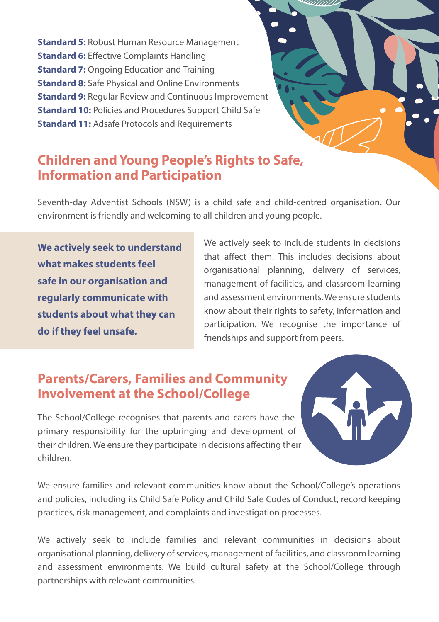**Standard 5:** Robust Human Resource Management **Standard 6:** Effective Complaints Handling **Standard 7:** Ongoing Education and Training **Standard 8:** Safe Physical and Online Environments **Standard 9: Regular Review and Continuous Improvement Standard 10:** Policies and Procedures Support Child Safe **Standard 11: Adsafe Protocols and Requirements** 

## Children and Young People's Rights to Safe, Information and Participation

Seventh-day Adventist Schools (NSW) is a child safe and child-centred organisation. Our environment is friendly and welcoming to all children and young people.

**We actively seek to understand what makes students feel safe in our organisation and regularly communicate with students about what they can do if they feel unsafe.**

We actively seek to include students in decisions that affect them. This includes decisions about organisational planning, delivery of services, management of facilities, and classroom learning and assessment environments. We ensure students know about their rights to safety, information and participation. We recognise the importance of friendships and support from peers.

## Parents/Carers, Families and Community Involvement at the School/College

The School/College recognises that parents and carers have the primary responsibility for the upbringing and development of their children. We ensure they participate in decisions affecting their children.



We ensure families and relevant communities know about the School/College's operations and policies, including its Child Safe Policy and Child Safe Codes of Conduct, record keeping practices, risk management, and complaints and investigation processes.

We actively seek to include families and relevant communities in decisions about organisational planning, delivery of services, management of facilities, and classroom learning and assessment environments. We build cultural safety at the School/College through partnerships with relevant communities.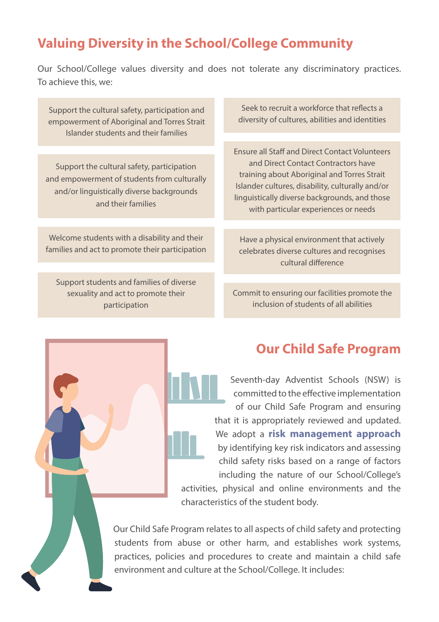## Valuing Diversity in the School/College Community

Our School/College values diversity and does not tolerate any discriminatory practices. To achieve this, we:

Support the cultural safety, participation and empowerment of Aboriginal and Torres Strait Islander students and their families

Support the cultural safety, participation and empowerment of students from culturally and/or linguistically diverse backgrounds and their families

Welcome students with a disability and their families and act to promote their participation

Support students and families of diverse sexuality and act to promote their participation

Seek to recruit a workforce that reflects a diversity of cultures, abilities and identities

Ensure all Staff and Direct Contact Volunteers and Direct Contact Contractors have training about Aboriginal and Torres Strait Islander cultures, disability, culturally and/or linguistically diverse backgrounds, and those with particular experiences or needs

Have a physical environment that actively celebrates diverse cultures and recognises cultural difference

Commit to ensuring our facilities promote the inclusion of students of all abilities

## Our Child Safe Program

Seventh-day Adventist Schools (NSW) is committed to the effective implementation of our Child Safe Program and ensuring that it is appropriately reviewed and updated. We adopt a **risk management approach** by identifying key risk indicators and assessing child safety risks based on a range of factors including the nature of our School/College's activities, physical and online environments and the characteristics of the student body.

Our Child Safe Program relates to all aspects of child safety and protecting students from abuse or other harm, and establishes work systems, practices, policies and procedures to create and maintain a child safe environment and culture at the School/College. It includes: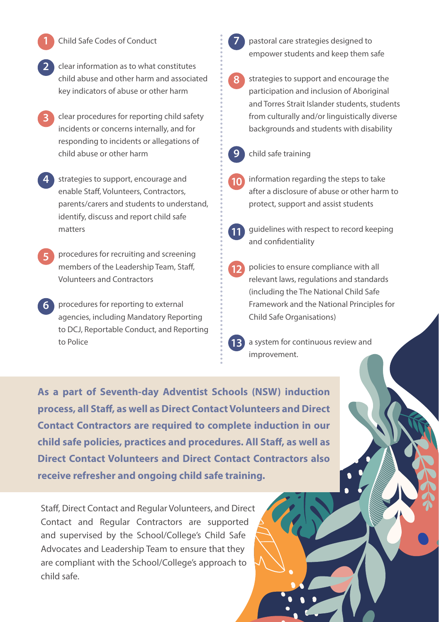- Child Safe Codes of Conduct **1 7**
- clear information as to what constitutes child abuse and other harm and associated key indicators of abuse or other harm **2**
- clear procedures for reporting child safety incidents or concerns internally, and for responding to incidents or allegations of child abuse or other harm **3**
- strategies to support, encourage and enable Staff, Volunteers, Contractors, parents/carers and students to understand, identify, discuss and report child safe matters **4**
- procedures for recruiting and screening members of the Leadership Team, Staff, Volunteers and Contractors **5**
- procedures for reporting to external **6** agencies, including Mandatory Reporting to DCJ, Reportable Conduct, and Reporting to Police

pastoral care strategies designed to empower students and keep them safe

- strategies to support and encourage the participation and inclusion of Aboriginal and Torres Strait Islander students, students from culturally and/or linguistically diverse backgrounds and students with disability **8**
- **9**
	- child safe training
- information regarding the steps to take after a disclosure of abuse or other harm to protect, support and assist students **10**



- guidelines with respect to record keeping and confidentiality
- policies to ensure compliance with all relevant laws, regulations and standards (including the The National Child Safe Framework and the National Principles for Child Safe Organisations) **12**

a system for continuous review and improvement. **13**

**As a part of Seventh-day Adventist Schools (NSW) induction process, all Staff, as well as Direct Contact Volunteers and Direct Contact Contractors are required to complete induction in our child safe policies, practices and procedures. All Staff, as well as Direct Contact Volunteers and Direct Contact Contractors also receive refresher and ongoing child safe training.**

Staff, Direct Contact and Regular Volunteers, and Direct Contact and Regular Contractors are supported and supervised by the School/College's Child Safe Advocates and Leadership Team to ensure that they are compliant with the School/College's approach to child safe.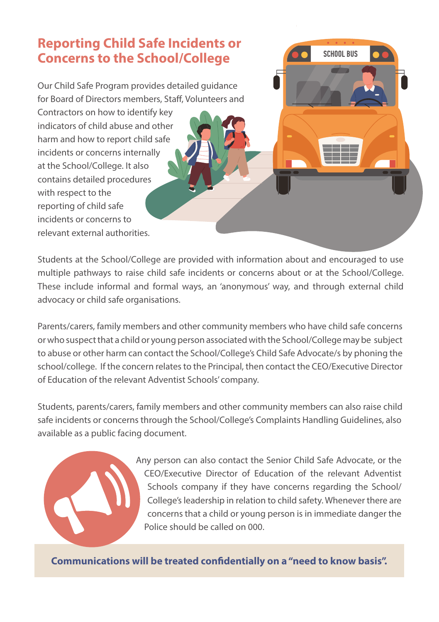## Reporting Child Safe Incidents or Concerns to the School/College

Our Child Safe Program provides detailed guidance for Board of Directors members, Staff, Volunteers and

Contractors on how to identify key indicators of child abuse and other harm and how to report child safe incidents or concerns internally at the School/College. It also contains detailed procedures with respect to the reporting of child safe incidents or concerns to relevant external authorities.

Students at the School/College are provided with information about and encouraged to use multiple pathways to raise child safe incidents or concerns about or at the School/College. These include informal and formal ways, an 'anonymous' way, and through external child advocacy or child safe organisations.

Parents/carers, family members and other community members who have child safe concerns or who suspect that a child or young person associated with the School/College may be subject to abuse or other harm can contact the School/College's Child Safe Advocate/s by phoning the school/college. If the concern relates to the Principal, then contact the CEO/Executive Director of Education of the relevant Adventist Schools' company.

Students, parents/carers, family members and other community members can also raise child safe incidents or concerns through the School/College's Complaints Handling Guidelines, also available as a public facing document.

> Any person can also contact the Senior Child Safe Advocate, or the CEO/Executive Director of Education of the relevant Adventist Schools company if they have concerns regarding the School/ College's leadership in relation to child safety. Whenever there are concerns that a child or young person is in immediate danger the Police should be called on 000.

**SCHOOL BUS** 

**Communications will be treated confidentially on a "need to know basis".**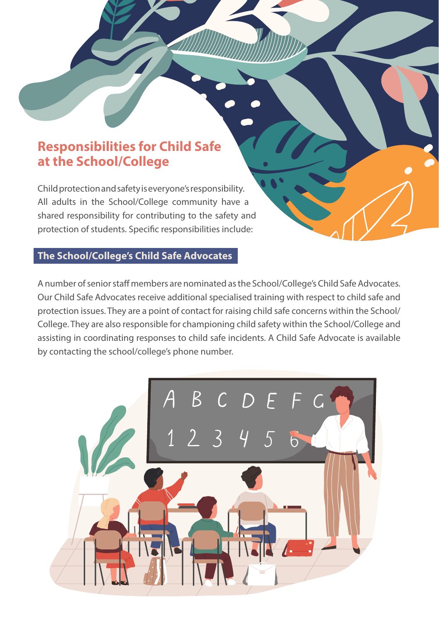## Responsibilities for Child Safe at the School/College

Child protection and safety is everyone's responsibility. All adults in the School/College community have a shared responsibility for contributing to the safety and protection of students. Specific responsibilities include:

#### **The School/College's Child Safe Advocates**

A number of senior staff members are nominated as the School/College's Child Safe Advocates. Our Child Safe Advocates receive additional specialised training with respect to child safe and protection issues. They are a point of contact for raising child safe concerns within the School/ College. They are also responsible for championing child safety within the School/College and assisting in coordinating responses to child safe incidents. A Child Safe Advocate is available by contacting the school/college's phone number.

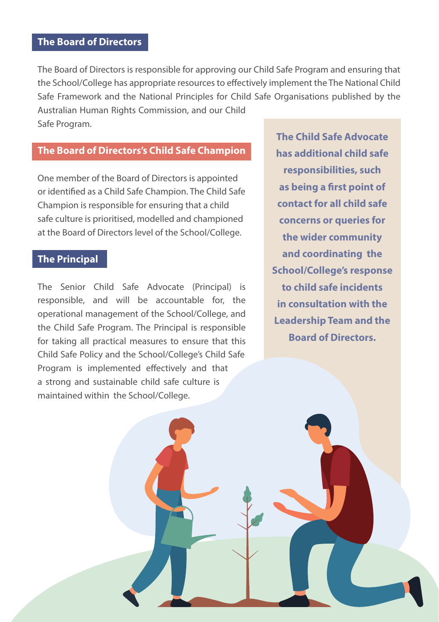#### **The Board of Directors**

The Board of Directors is responsible for approving our Child Safe Program and ensuring that the School/College has appropriate resources to effectively implement the The National Child Safe Framework and the National Principles for Child Safe Organisations published by the Australian Human Rights Commission, and our Child Safe Program.

#### **The Board of Directors's Child Safe Champion**

One member of the Board of Directors is appointed or identified as a Child Safe Champion. The Child Safe Champion is responsible for ensuring that a child safe culture is prioritised, modelled and championed at the Board of Directors level of the School/College.

#### **The Principal**

The Senior Child Safe Advocate (Principal) is responsible, and will be accountable for, the operational management of the School/College, and the Child Safe Program. The Principal is responsible for taking all practical measures to ensure that this Child Safe Policy and the School/College's Child Safe Program is implemented effectively and that a strong and sustainable child safe culture is maintained within the School/College.

**The Child Safe Advocate has additional child safe responsibilities, such as being a first point of contact for all child safe concerns or queries for the wider community and coordinating the School/College's response to child safe incidents in consultation with the Leadership Team and the Board of Directors.**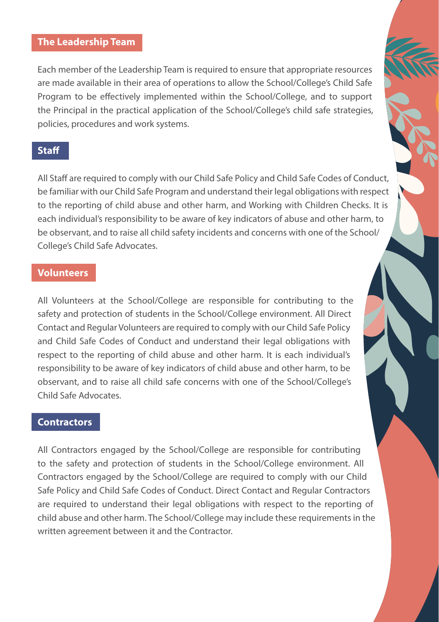#### **The Leadership Team**

Each member of the Leadership Team is required to ensure that appropriate resources are made available in their area of operations to allow the School/College's Child Safe Program to be effectively implemented within the School/College, and to support the Principal in the practical application of the School/College's child safe strategies, policies, procedures and work systems.

#### **Staff**

All Staff are required to comply with our Child Safe Policy and Child Safe Codes of Conduct, be familiar with our Child Safe Program and understand their legal obligations with respect to the reporting of child abuse and other harm, and Working with Children Checks. It is each individual's responsibility to be aware of key indicators of abuse and other harm, to be observant, and to raise all child safety incidents and concerns with one of the School/ College's Child Safe Advocates.

#### **Volunteers**

All Volunteers at the School/College are responsible for contributing to the safety and protection of students in the School/College environment. All Direct Contact and Regular Volunteers are required to comply with our Child Safe Policy and Child Safe Codes of Conduct and understand their legal obligations with respect to the reporting of child abuse and other harm. It is each individual's responsibility to be aware of key indicators of child abuse and other harm, to be observant, and to raise all child safe concerns with one of the School/College's Child Safe Advocates.

#### **Contractors**

All Contractors engaged by the School/College are responsible for contributing to the safety and protection of students in the School/College environment. All Contractors engaged by the School/College are required to comply with our Child Safe Policy and Child Safe Codes of Conduct. Direct Contact and Regular Contractors are required to understand their legal obligations with respect to the reporting of child abuse and other harm. The School/College may include these requirements in the written agreement between it and the Contractor.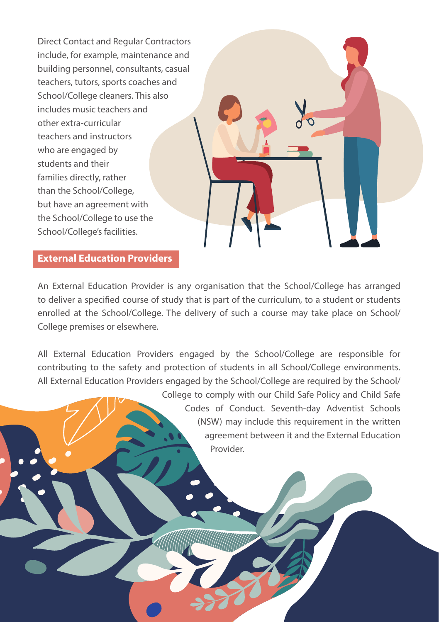Direct Contact and Regular Contractors include, for example, maintenance and building personnel, consultants, casual teachers, tutors, sports coaches and School/College cleaners. This also includes music teachers and other extra-curricular teachers and instructors who are engaged by students and their families directly, rather than the School/College, but have an agreement with the School/College to use the School/College's facilities.

#### **External Education Providers**

An External Education Provider is any organisation that the School/College has arranged to deliver a specified course of study that is part of the curriculum, to a student or students enrolled at the School/College. The delivery of such a course may take place on School/ College premises or elsewhere.

All External Education Providers engaged by the School/College are responsible for contributing to the safety and protection of students in all School/College environments. All External Education Providers engaged by the School/College are required by the School/

> College to comply with our Child Safe Policy and Child Safe Codes of Conduct. Seventh-day Adventist Schools (NSW) may include this requirement in the written agreement between it and the External Education Provider.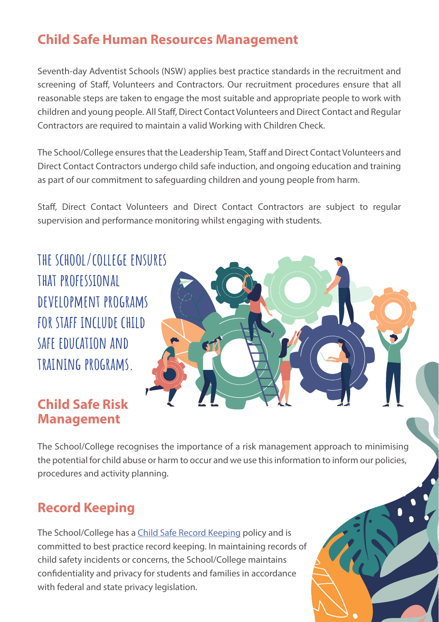## Child Safe Human Resources Management

Seventh-day Adventist Schools (NSW) applies best practice standards in the recruitment and screening of Staff, Volunteers and Contractors. Our recruitment procedures ensure that all reasonable steps are taken to engage the most suitable and appropriate people to work with children and young people. All Staff, Direct Contact Volunteers and Direct Contact and Regular Contractors are required to maintain a valid Working with Children Check.

The School/College ensures that the Leadership Team, Staff and Direct Contact Volunteers and Direct Contact Contractors undergo child safe induction, and ongoing education and training as part of our commitment to safeguarding children and young people from harm.

Staff, Direct Contact Volunteers and Direct Contact Contractors are subject to regular supervision and performance monitoring whilst engaging with students.

**the school/college ensures that professional development programs for staff include child safe education and training programs.**

## Child Safe Risk Management



The School/College recognises the importance of a risk management approach to minimising the potential for child abuse or harm to occur and we use this information to inform our policies, procedures and activity planning.

## Record Keeping

The School/College has a Child Safe Record Keeping policy and is committed to best practice record keeping. In maintaining records of child safety incidents or concerns, the School/College maintains confidentiality and privacy for students and families in accordance with federal and state privacy legislation.